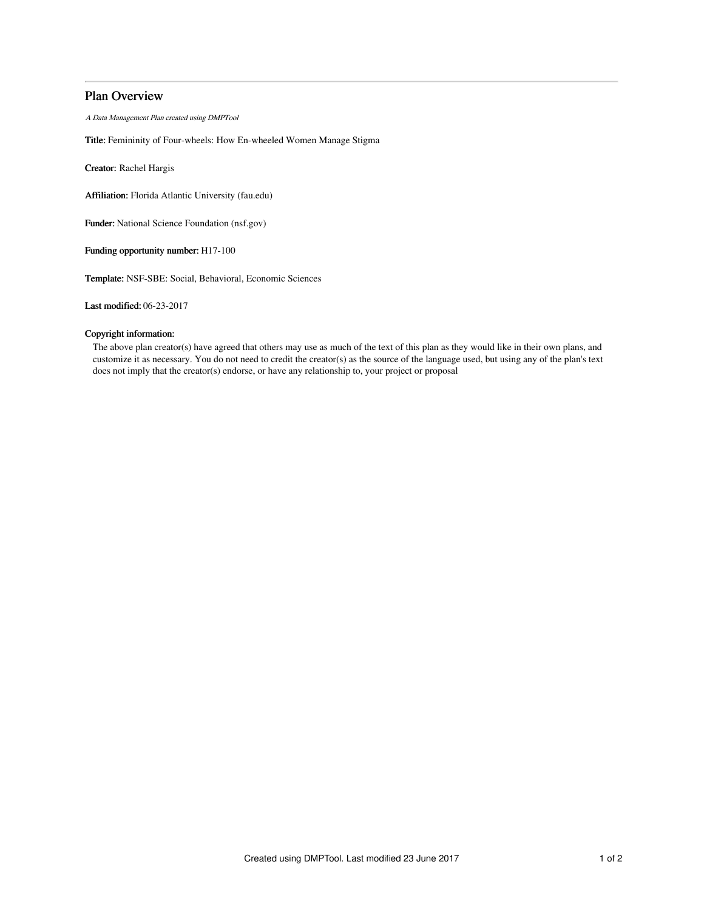# Plan Overview

A Data Management Plan created using DMPTool

Title: Femininity of Four-wheels: How En-wheeled Women Manage Stigma

Creator: Rachel Hargis

Affiliation: Florida Atlantic University (fau.edu)

Funder: National Science Foundation (nsf.gov)

Funding opportunity number: H17-100

Template: NSF-SBE: Social, Behavioral, Economic Sciences

Last modified: 06-23-2017

## Copyright information:

The above plan creator(s) have agreed that others may use as much of the text of this plan as they would like in their own plans, and customize it as necessary. You do not need to credit the creator(s) as the source of the language used, but using any of the plan's text does not imply that the creator(s) endorse, or have any relationship to, your project or proposal